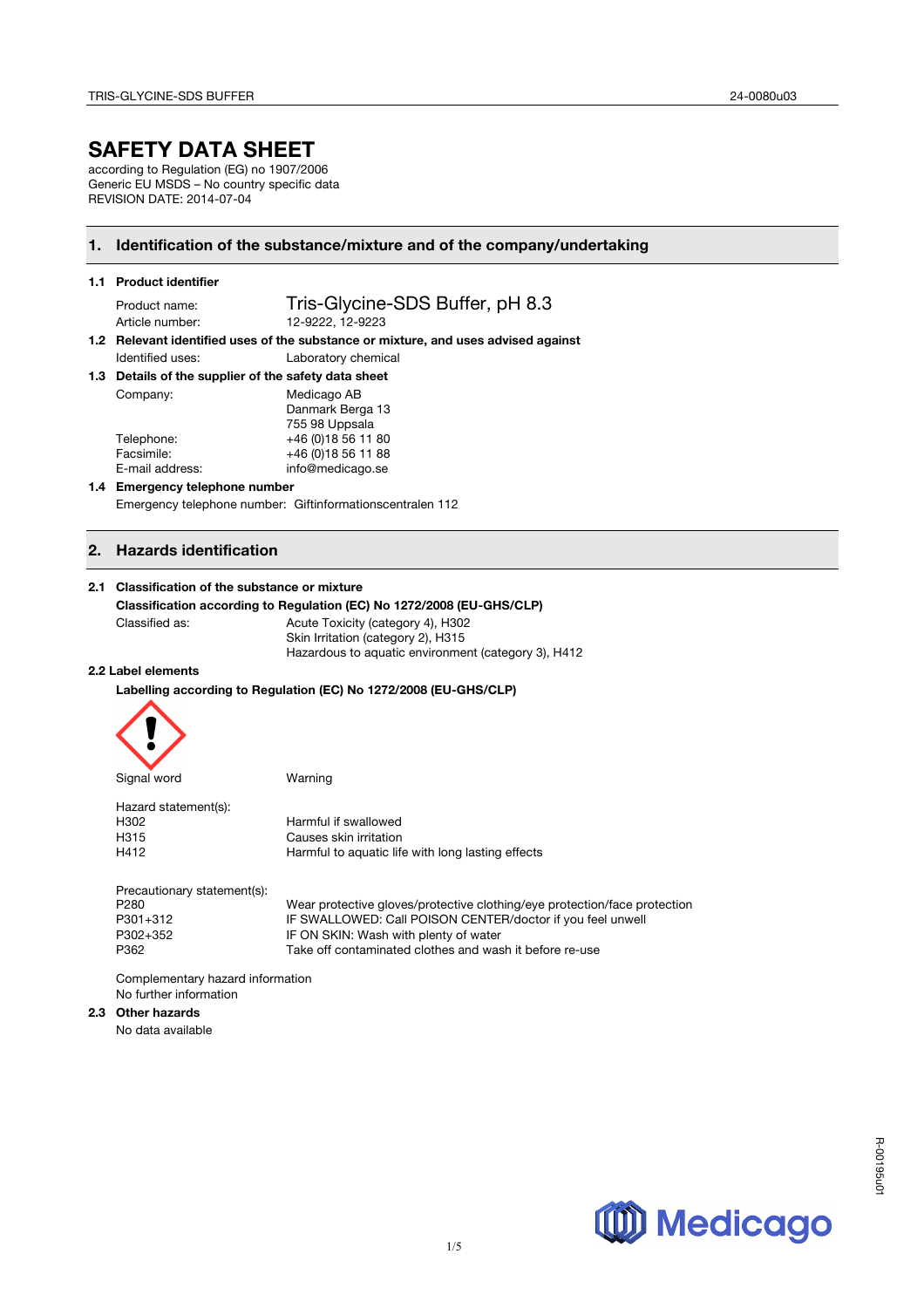## **SAFETY DATA SHEET**

according to Regulation (EG) no 1907/2006 Generic EU MSDS – No country specific data REVISION DATE: 2014-07-04

### **1. Identification of the substance/mixture and of the company/undertaking**

| 1.1 Product identifier |  |
|------------------------|--|
|------------------------|--|

Product name: Tris-Glycine-SDS Buffer, pH 8.3 Article number: 12-9222, 12-9223

**1.2 Relevant identified uses of the substance or mixture, and uses advised against**  Identified uses: Laboratory chemical

| 1.3 Details of the supplier of the safety data sheet |  |
|------------------------------------------------------|--|
|                                                      |  |

| Medicago AB         |
|---------------------|
| Danmark Berga 13    |
| 755 98 Uppsala      |
| +46 (0) 18 56 11 80 |
| +46 (0) 18 56 11 88 |
| info@medicago.se    |
|                     |

#### **1.4 Emergency telephone number**  Emergency telephone number: Giftinformationscentralen 112

#### **2. Hazards identification**

#### **2.1 Classification of the substance or mixture**

#### **Classification according to Regulation (EC) No 1272/2008 (EU-GHS/CLP)**

Classified as: Acute Toxicity (category 4), H302

Skin Irritation (category 2), H315 Hazardous to aquatic environment (category 3), H412

#### **2.2 Label elements**

**Labelling according to Regulation (EC) No 1272/2008 (EU-GHS/CLP)**



| Hazard statement(s): |                                                   |
|----------------------|---------------------------------------------------|
| H302                 | Harmful if swallowed                              |
| H315                 | Causes skin irritation                            |
| H412                 | Harmful to aquatic life with long lasting effects |

Precautionary statement(s):

P280 Wear protective gloves/protective clothing/eye protection/face protection P301+312 IF SWALLOWED: Call POISON CENTER/doctor if you feel unwell<br>P302+352 IF ON SKIN: Wash with plenty of water IF ON SKIN: Wash with plenty of water P362 Take off contaminated clothes and wash it before re-use

Complementary hazard information No further information

#### **2.3 Other hazards**

No data available

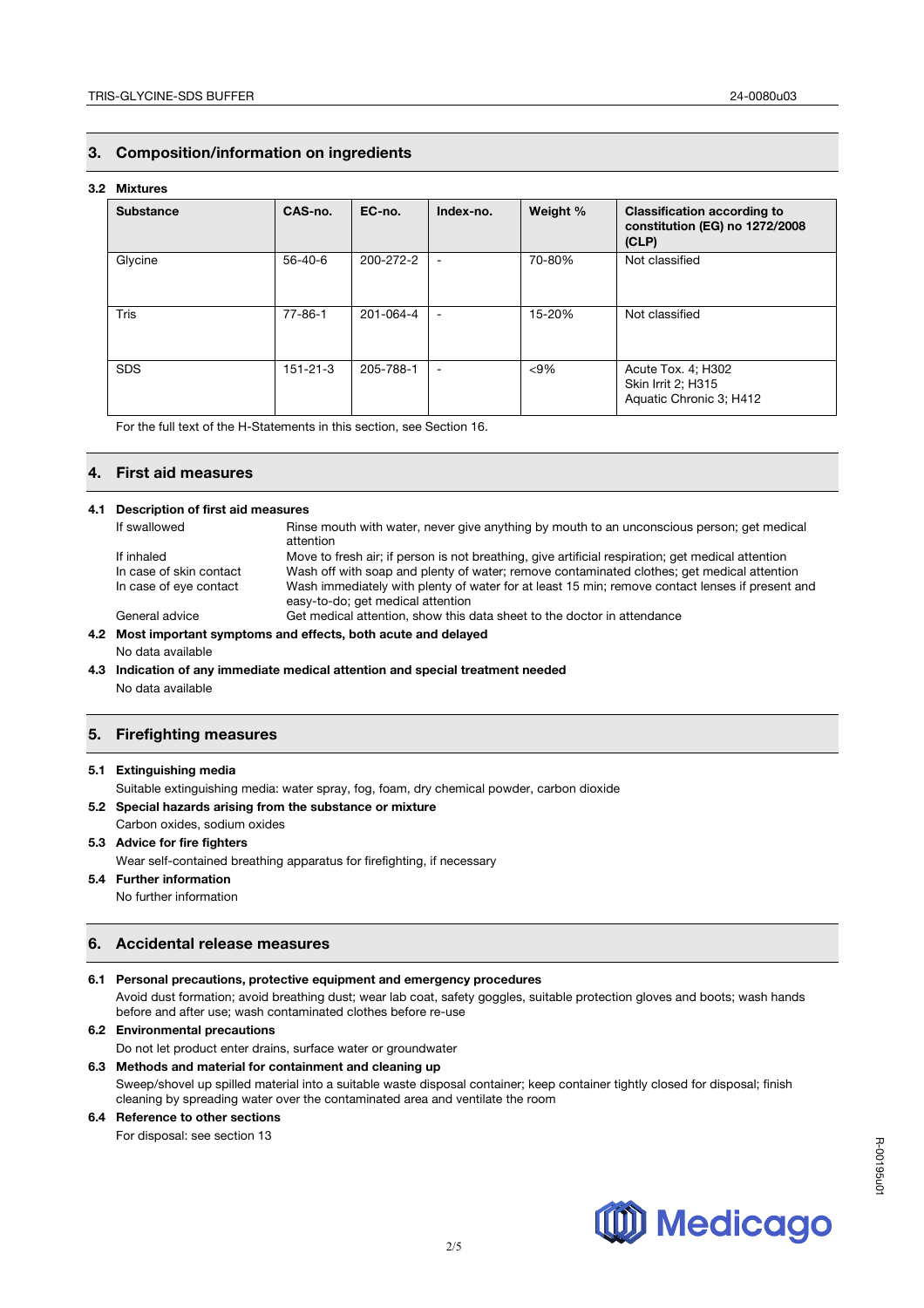#### **3. Composition/information on ingredients**

#### **3.2 Mixtures**

| <b>Substance</b> | CAS-no.       | EC-no.    | Index-no.                | Weight % | <b>Classification according to</b><br>constitution (EG) no 1272/2008<br>(CLP) |
|------------------|---------------|-----------|--------------------------|----------|-------------------------------------------------------------------------------|
| Glycine          | $56 - 40 - 6$ | 200-272-2 | $\overline{\phantom{a}}$ | 70-80%   | Not classified                                                                |
| <b>Tris</b>      | $77 - 86 - 1$ | 201-064-4 | $\overline{\phantom{a}}$ | 15-20%   | Not classified                                                                |
| <b>SDS</b>       | 151-21-3      | 205-788-1 | $\overline{\phantom{a}}$ | $< 9\%$  | Acute Tox. 4; H302<br><b>Skin Irrit 2; H315</b><br>Aquatic Chronic 3; H412    |

For the full text of the H-Statements in this section, see Section 16.

#### **4. First aid measures**

#### **4.1 Description of first aid measures**

| If swallowed            | Rinse mouth with water, never give anything by mouth to an unconscious person; get medical<br>attention                              |
|-------------------------|--------------------------------------------------------------------------------------------------------------------------------------|
| If inhaled              | Move to fresh air; if person is not breathing, give artificial respiration; get medical attention                                    |
| In case of skin contact | Wash off with soap and plenty of water; remove contaminated clothes; get medical attention                                           |
| In case of eye contact  | Wash immediately with plenty of water for at least 15 min; remove contact lenses if present and<br>easy-to-do; get medical attention |
| General advice          | Get medical attention, show this data sheet to the doctor in attendance                                                              |
|                         |                                                                                                                                      |

#### **4.2 Most important symptoms and effects, both acute and delayed**  No data available

**4.3 Indication of any immediate medical attention and special treatment needed** No data available

### **5. Firefighting measures**

#### **5.1 Extinguishing media**

Suitable extinguishing media: water spray, fog, foam, dry chemical powder, carbon dioxide

#### **5.2 Special hazards arising from the substance or mixture**

Carbon oxides, sodium oxides

### **5.3 Advice for fire fighters**

Wear self-contained breathing apparatus for firefighting, if necessary

**5.4 Further information** No further information

#### **6. Accidental release measures**

**6.1 Personal precautions, protective equipment and emergency procedures** Avoid dust formation; avoid breathing dust; wear lab coat, safety goggles, suitable protection gloves and boots; wash hands before and after use; wash contaminated clothes before re-use

#### **6.2 Environmental precautions**

Do not let product enter drains, surface water or groundwater

#### **6.3 Methods and material for containment and cleaning up**

Sweep/shovel up spilled material into a suitable waste disposal container; keep container tightly closed for disposal; finish cleaning by spreading water over the contaminated area and ventilate the room

2/5

#### **6.4 Reference to other sections**

For disposal: see section 13

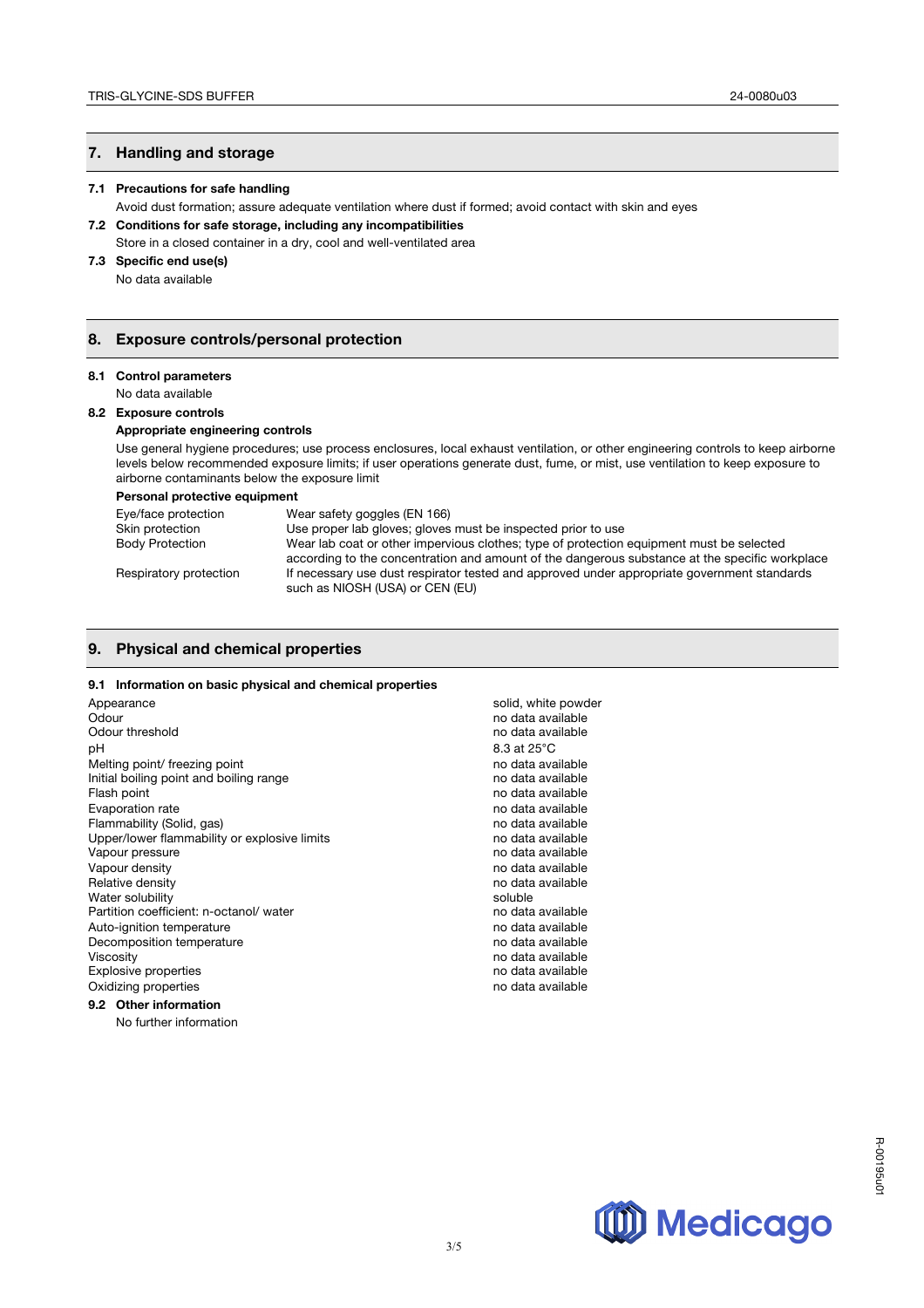### **7. Handling and storage**

#### **7.1 Precautions for safe handling**

- Avoid dust formation; assure adequate ventilation where dust if formed; avoid contact with skin and eyes **7.2 Conditions for safe storage, including any incompatibilities**
- Store in a closed container in a dry, cool and well-ventilated area

### **7.3 Specific end use(s)**

No data available

#### **8. Exposure controls/personal protection**

#### **8.1 Control parameters**

No data available

#### **8.2 Exposure controls**

#### **Appropriate engineering controls**

Use general hygiene procedures; use process enclosures, local exhaust ventilation, or other engineering controls to keep airborne levels below recommended exposure limits; if user operations generate dust, fume, or mist, use ventilation to keep exposure to airborne contaminants below the exposure limit

#### **Personal protective equipment**

| Eye/face protection    | Wear safety goggles (EN 166)                                                                   |
|------------------------|------------------------------------------------------------------------------------------------|
| Skin protection        | Use proper lab gloves; gloves must be inspected prior to use                                   |
| <b>Body Protection</b> | Wear lab coat or other impervious clothes; type of protection equipment must be selected       |
|                        | according to the concentration and amount of the dangerous substance at the specific workplace |
| Respiratory protection | If necessary use dust respirator tested and approved under appropriate government standards    |
|                        | such as NIOSH (USA) or CEN (EU)                                                                |

#### **9. Physical and chemical properties**

#### **9.1 Information on basic physical and chemical properties**

| Appearance                                   | solid, white powder |
|----------------------------------------------|---------------------|
| Odour                                        | no data available   |
| Odour threshold                              | no data available   |
| рH                                           | 8.3 at 25°C         |
| Melting point/ freezing point                | no data available   |
| Initial boiling point and boiling range      | no data available   |
| Flash point                                  | no data available   |
| Evaporation rate                             | no data available   |
| Flammability (Solid, gas)                    | no data available   |
| Upper/lower flammability or explosive limits | no data available   |
| Vapour pressure                              | no data available   |
| Vapour density                               | no data available   |
| Relative density                             | no data available   |
| Water solubility                             | soluble             |
| Partition coefficient: n-octanol/water       | no data available   |
| Auto-ignition temperature                    | no data available   |
| Decomposition temperature                    | no data available   |
| Viscosity                                    | no data available   |
| <b>Explosive properties</b>                  | no data available   |
| Oxidizing properties                         | no data available   |
| 9.2 Other information                        |                     |
| No further information                       |                     |

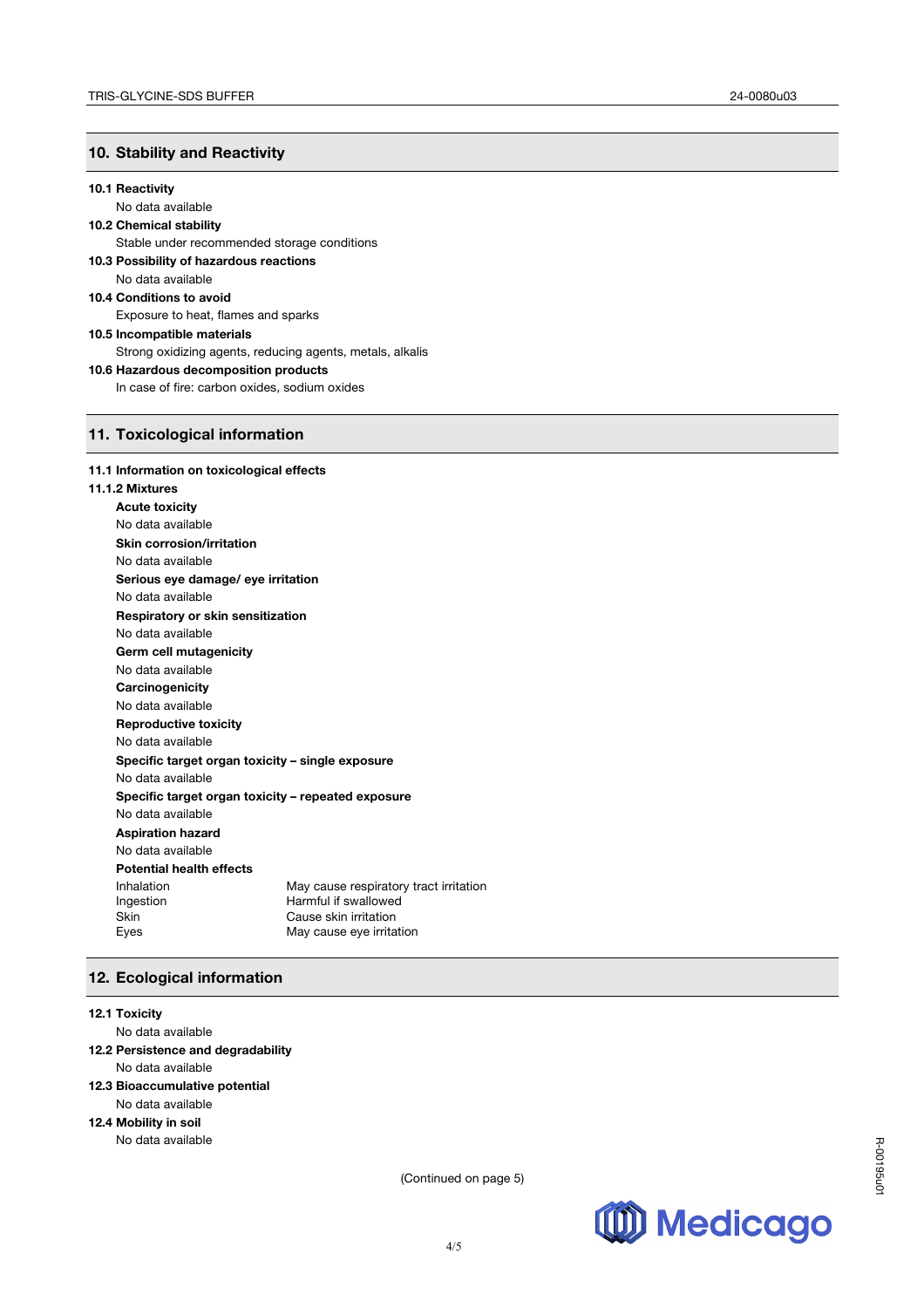### **10. Stability and Reactivity**

#### **10.1 Reactivity**

No data available

### **10.2 Chemical stability**

Stable under recommended storage conditions **10.3 Possibility of hazardous reactions**  No data available **10.4 Conditions to avoid**  Exposure to heat, flames and sparks

### **10.5 Incompatible materials**  Strong oxidizing agents, reducing agents, metals, alkalis **10.6 Hazardous decomposition products**

In case of fire: carbon oxides, sodium oxides

### **11. Toxicological information**

#### **11.1 Information on toxicological effects**

#### **11.1.2 Mixtures**

| .L MIAWI GJ                                        |                                        |  |  |
|----------------------------------------------------|----------------------------------------|--|--|
| <b>Acute toxicity</b>                              |                                        |  |  |
| No data available                                  |                                        |  |  |
| <b>Skin corrosion/irritation</b>                   |                                        |  |  |
| No data available                                  |                                        |  |  |
| Serious eye damage/ eye irritation                 |                                        |  |  |
| No data available                                  |                                        |  |  |
| Respiratory or skin sensitization                  |                                        |  |  |
| No data available                                  |                                        |  |  |
| Germ cell mutagenicity                             |                                        |  |  |
| No data available                                  |                                        |  |  |
| Carcinogenicity                                    |                                        |  |  |
| No data available                                  |                                        |  |  |
| <b>Reproductive toxicity</b>                       |                                        |  |  |
| No data available                                  |                                        |  |  |
| Specific target organ toxicity - single exposure   |                                        |  |  |
| No data available                                  |                                        |  |  |
| Specific target organ toxicity – repeated exposure |                                        |  |  |
| No data available                                  |                                        |  |  |
| <b>Aspiration hazard</b>                           |                                        |  |  |
| No data available                                  |                                        |  |  |
| <b>Potential health effects</b>                    |                                        |  |  |
| Inhalation                                         | May cause respiratory tract irritation |  |  |
| Ingestion                                          | Harmful if swallowed                   |  |  |
| Skin                                               | Cause skin irritation                  |  |  |
| Eyes                                               | May cause eye irritation               |  |  |

### **12. Ecological information**

#### **12.1 Toxicity**

No data available

- **12.2 Persistence and degradability** No data available
- **12.3 Bioaccumulative potential**

### No data available

### **12.4 Mobility in soil**

No data available

(Continued on page 5)

4/5